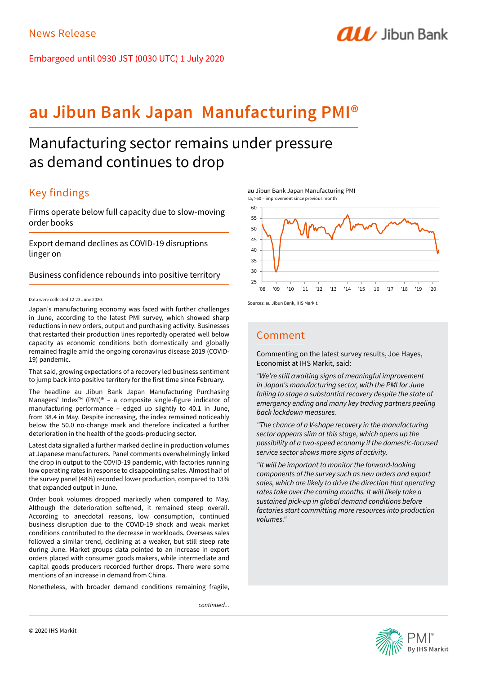Embargoed until 0930 JST (0030 UTC) 1 July 2020

# **au Jibun Bank Japan Manufacturing PMI®**

# Manufacturing sector remains under pressure as demand continues to drop

## Key findings

Firms operate below full capacity due to slow-moving order books

Export demand declines as COVID-19 disruptions linger on

Business confidence rebounds into positive territory

## Data were collected 12-23 June 2020.

Japan's manufacturing economy was faced with further challenges in June, according to the latest PMI survey, which showed sharp reductions in new orders, output and purchasing activity. Businesses that restarted their production lines reportedly operated well below capacity as economic conditions both domestically and globally remained fragile amid the ongoing coronavirus disease 2019 (COVID-19) pandemic.

That said, growing expectations of a recovery led business sentiment to jump back into positive territory for the first time since February.

The headline au Jibun Bank Japan Manufacturing Purchasing Managers' Index™ (PMI)® – a composite single-figure indicator of manufacturing performance – edged up slightly to 40.1 in June, from 38.4 in May. Despite increasing, the index remained noticeably below the 50.0 no-change mark and therefore indicated a further deterioration in the health of the goods-producing sector.

Latest data signalled a further marked decline in production volumes at Japanese manufacturers. Panel comments overwhelmingly linked the drop in output to the COVID-19 pandemic, with factories running low operating rates in response to disappointing sales. Almost half of the survey panel (48%) recorded lower production, compared to 13% that expanded output in June.

Order book volumes dropped markedly when compared to May. Although the deterioration softened, it remained steep overall. According to anecdotal reasons, low consumption, continued business disruption due to the COVID-19 shock and weak market conditions contributed to the decrease in workloads. Overseas sales followed a similar trend, declining at a weaker, but still steep rate during June. Market groups data pointed to an increase in export orders placed with consumer goods makers, while intermediate and capital goods producers recorded further drops. There were some mentions of an increase in demand from China.

Nonetheless, with broader demand conditions remaining fragile,

*continued...*





**ALL** Jibun Bank

Sources: au Jibun Bank, IHS Markit.

## Comment

Commenting on the latest survey results, Joe Hayes, Economist at IHS Markit, said:

*"We're still awaiting signs of meaningful improvement in Japan's manufacturing sector, with the PMI for June failing to stage a substantial recovery despite the state of emergency ending and many key trading partners peeling back lockdown measures.*

*"The chance of a V-shape recovery in the manufacturing sector appears slim at this stage, which opens up the possibility of a two-speed economy if the domestic-focused service sector shows more signs of activity.*

*"It will be important to monitor the forward-looking components of the survey such as new orders and export sales, which are likely to drive the direction that operating rates take over the coming months. It will likely take a sustained pick-up in global demand conditions before factories start committing more resources into production volumes."*